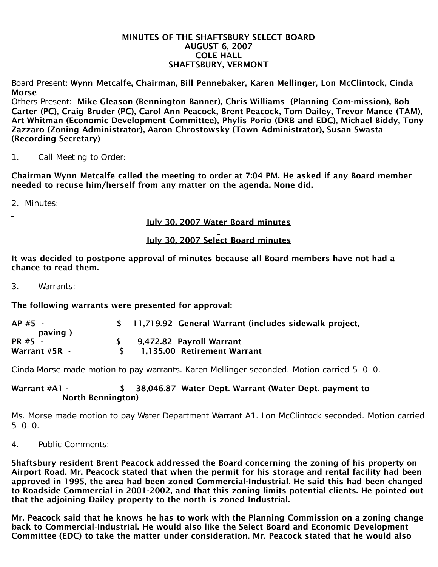## MINUTES OF THE SHAFTSBURY SELECT BOARD AUGUST 6, 2007 COLE HALL SHAFTSBURY, VERMONT

Board Present: Wynn Metcalfe, Chairman, Bill Pennebaker, Karen Mellinger, Lon McClintock, Cinda Morse

Others Present: Mike Gleason (Bennington Banner), Chris Williams (Planning Com-mission), Bob Carter (PC), Craig Bruder (PC), Carol Ann Peacock, Brent Peacock, Tom Dailey, Trevor Mance (TAM), Art Whitman (Economic Development Committee), Phylis Porio (DRB and EDC), Michael Biddy, Tony Zazzaro (Zoning Administrator), Aaron Chrostowsky (Town Administrator), Susan Swasta (Recording Secretary)

1. Call Meeting to Order:

Chairman Wynn Metcalfe called the meeting to order at 7:04 PM. He asked if any Board member needed to recuse him/herself from any matter on the agenda. None did.

2. Minutes:

July 30, 2007 Water Board minutes

## July 30, 2007 Select Board minutes

It was decided to postpone approval of minutes because all Board members have not had a chance to read them.

3. Warrants:

The following warrants were presented for approval:

| $AP#5 -$       | \$ 11,719.92 General Warrant (includes sidewalk project, |
|----------------|----------------------------------------------------------|
| paving)        |                                                          |
| <b>PR #5 -</b> | 9,472.82 Payroll Warrant                                 |
| Warrant #5R -  | 1,135.00 Retirement Warrant                              |

Cinda Morse made motion to pay warrants. Karen Mellinger seconded. Motion carried 5-0-0.

## Warrant #A1 -  $\frac{1}{2}$  38,046.87 Water Dept. Warrant (Water Dept. payment to North Bennington)

Ms. Morse made motion to pay Water Department Warrant A1. Lon McClintock seconded. Motion carried  $5 - 0 - 0$ .

4. Public Comments:

Shaftsbury resident Brent Peacock addressed the Board concerning the zoning of his property on Airport Road. Mr. Peacock stated that when the permit for his storage and rental facility had been approved in 1995, the area had been zoned Commercial-Industrial. He said this had been changed to Roadside Commercial in 2001-2002, and that this zoning limits potential clients. He pointed out that the adjoining Dailey property to the north is zoned Industrial.

Mr. Peacock said that he knows he has to work with the Planning Commission on a zoning change back to Commercial-Industrial. He would also like the Select Board and Economic Development Committee (EDC) to take the matter under consideration. Mr. Peacock stated that he would also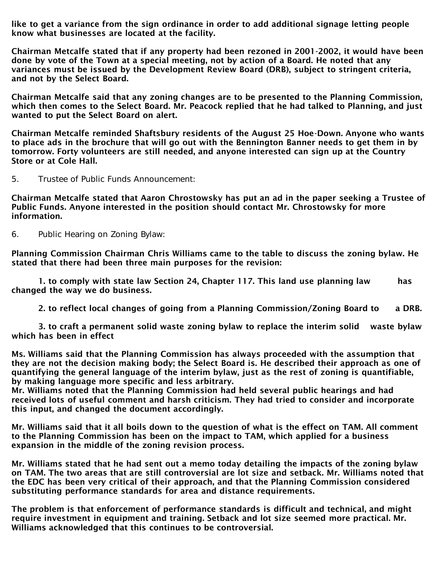like to get a variance from the sign ordinance in order to add additional signage letting people know what businesses are located at the facility.

Chairman Metcalfe stated that if any property had been rezoned in 2001-2002, it would have been done by vote of the Town at a special meeting, not by action of a Board. He noted that any variances must be issued by the Development Review Board (DRB), subject to stringent criteria, and not by the Select Board.

Chairman Metcalfe said that any zoning changes are to be presented to the Planning Commission, which then comes to the Select Board. Mr. Peacock replied that he had talked to Planning, and just wanted to put the Select Board on alert.

Chairman Metcalfe reminded Shaftsbury residents of the August 25 Hoe-Down. Anyone who wants to place ads in the brochure that will go out with the Bennington Banner needs to get them in by tomorrow. Forty volunteers are still needed, and anyone interested can sign up at the Country Store or at Cole Hall.

5. Trustee of Public Funds Announcement:

Chairman Metcalfe stated that Aaron Chrostowsky has put an ad in the paper seeking a Trustee of Public Funds. Anyone interested in the position should contact Mr. Chrostowsky for more information.

6. Public Hearing on Zoning Bylaw:

Planning Commission Chairman Chris Williams came to the table to discuss the zoning bylaw. He stated that there had been three main purposes for the revision:

 1. to comply with state law Section 24, Chapter 117. This land use planning law has changed the way we do business.

2. to reflect local changes of going from a Planning Commission/Zoning Board to a DRB.

 3. to craft a permanent solid waste zoning bylaw to replace the interim solid waste bylaw which has been in effect

Ms. Williams said that the Planning Commission has always proceeded with the assumption that they are not the decision making body; the Select Board is. He described their approach as one of quantifying the general language of the interim bylaw, just as the rest of zoning is quantifiable, by making language more specific and less arbitrary.

Mr. Williams noted that the Planning Commission had held several public hearings and had received lots of useful comment and harsh criticism. They had tried to consider and incorporate this input, and changed the document accordingly.

Mr. Williams said that it all boils down to the question of what is the effect on TAM. All comment to the Planning Commission has been on the impact to TAM, which applied for a business expansion in the middle of the zoning revision process.

Mr. Williams stated that he had sent out a memo today detailing the impacts of the zoning bylaw on TAM. The two areas that are still controversial are lot size and setback. Mr. Williams noted that the EDC has been very critical of their approach, and that the Planning Commission considered substituting performance standards for area and distance requirements.

The problem is that enforcement of performance standards is difficult and technical, and might require investment in equipment and training. Setback and lot size seemed more practical. Mr. Williams acknowledged that this continues to be controversial.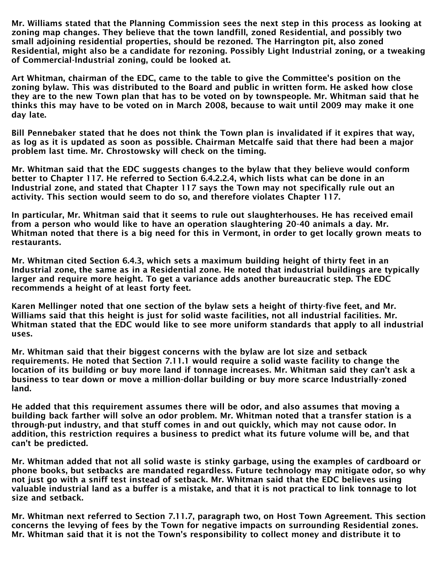Mr. Williams stated that the Planning Commission sees the next step in this process as looking at zoning map changes. They believe that the town landfill, zoned Residential, and possibly two small adjoining residential properties, should be rezoned. The Harrington pit, also zoned Residential, might also be a candidate for rezoning. Possibly Light Industrial zoning, or a tweaking of Commercial-Industrial zoning, could be looked at.

Art Whitman, chairman of the EDC, came to the table to give the Committee's position on the zoning bylaw. This was distributed to the Board and public in written form. He asked how close they are to the new Town plan that has to be voted on by townspeople. Mr. Whitman said that he thinks this may have to be voted on in March 2008, because to wait until 2009 may make it one day late.

Bill Pennebaker stated that he does not think the Town plan is invalidated if it expires that way, as log as it is updated as soon as possible. Chairman Metcalfe said that there had been a major problem last time. Mr. Chrostowsky will check on the timing.

Mr. Whitman said that the EDC suggests changes to the bylaw that they believe would conform better to Chapter 117. He referred to Section 6.4.2.2.4, which lists what can be done in an Industrial zone, and stated that Chapter 117 says the Town may not specifically rule out an activity. This section would seem to do so, and therefore violates Chapter 117.

In particular, Mr. Whitman said that it seems to rule out slaughterhouses. He has received email from a person who would like to have an operation slaughtering 20-40 animals a day. Mr. Whitman noted that there is a big need for this in Vermont, in order to get locally grown meats to restaurants.

Mr. Whitman cited Section 6.4.3, which sets a maximum building height of thirty feet in an Industrial zone, the same as in a Residential zone. He noted that industrial buildings are typically larger and require more height. To get a variance adds another bureaucratic step. The EDC recommends a height of at least forty feet.

Karen Mellinger noted that one section of the bylaw sets a height of thirty-five feet, and Mr. Williams said that this height is just for solid waste facilities, not all industrial facilities. Mr. Whitman stated that the EDC would like to see more uniform standards that apply to all industrial uses.

Mr. Whitman said that their biggest concerns with the bylaw are lot size and setback requirements. He noted that Section 7.11.1 would require a solid waste facility to change the location of its building or buy more land if tonnage increases. Mr. Whitman said they can't ask a business to tear down or move a million-dollar building or buy more scarce Industrially-zoned land.

He added that this requirement assumes there will be odor, and also assumes that moving a building back farther will solve an odor problem. Mr. Whitman noted that a transfer station is a through-put industry, and that stuff comes in and out quickly, which may not cause odor. In addition, this restriction requires a business to predict what its future volume will be, and that can't be predicted.

Mr. Whitman added that not all solid waste is stinky garbage, using the examples of cardboard or phone books, but setbacks are mandated regardless. Future technology may mitigate odor, so why not just go with a sniff test instead of setback. Mr. Whitman said that the EDC believes using valuable industrial land as a buffer is a mistake, and that it is not practical to link tonnage to lot size and setback.

Mr. Whitman next referred to Section 7.11.7, paragraph two, on Host Town Agreement. This section concerns the levying of fees by the Town for negative impacts on surrounding Residential zones. Mr. Whitman said that it is not the Town's responsibility to collect money and distribute it to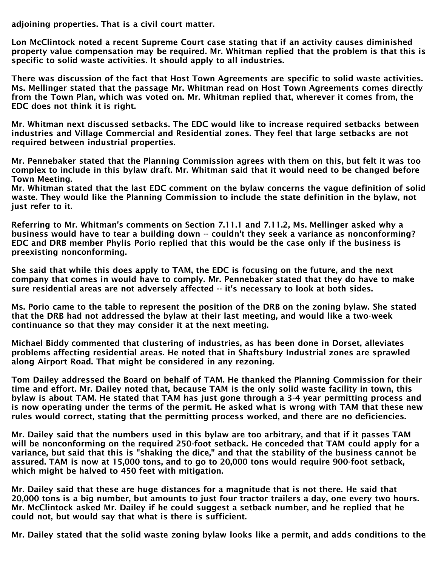adjoining properties. That is a civil court matter.

Lon McClintock noted a recent Supreme Court case stating that if an activity causes diminished property value compensation may be required. Mr. Whitman replied that the problem is that this is specific to solid waste activities. It should apply to all industries.

There was discussion of the fact that Host Town Agreements are specific to solid waste activities. Ms. Mellinger stated that the passage Mr. Whitman read on Host Town Agreements comes directly from the Town Plan, which was voted on. Mr. Whitman replied that, wherever it comes from, the EDC does not think it is right.

Mr. Whitman next discussed setbacks. The EDC would like to increase required setbacks between industries and Village Commercial and Residential zones. They feel that large setbacks are not required between industrial properties.

Mr. Pennebaker stated that the Planning Commission agrees with them on this, but felt it was too complex to include in this bylaw draft. Mr. Whitman said that it would need to be changed before Town Meeting.

Mr. Whitman stated that the last EDC comment on the bylaw concerns the vague definition of solid waste. They would like the Planning Commission to include the state definition in the bylaw, not just refer to it.

Referring to Mr. Whitman's comments on Section 7.11.1 and 7.11.2, Ms. Mellinger asked why a business would have to tear a building down -- couldn't they seek a variance as nonconforming? EDC and DRB member Phylis Porio replied that this would be the case only if the business is preexisting nonconforming.

She said that while this does apply to TAM, the EDC is focusing on the future, and the next company that comes in would have to comply. Mr. Pennebaker stated that they do have to make sure residential areas are not adversely affected -- it's necessary to look at both sides.

Ms. Porio came to the table to represent the position of the DRB on the zoning bylaw. She stated that the DRB had not addressed the bylaw at their last meeting, and would like a two-week continuance so that they may consider it at the next meeting.

Michael Biddy commented that clustering of industries, as has been done in Dorset, alleviates problems affecting residential areas. He noted that in Shaftsbury Industrial zones are sprawled along Airport Road. That might be considered in any rezoning.

Tom Dailey addressed the Board on behalf of TAM. He thanked the Planning Commission for their time and effort. Mr. Dailey noted that, because TAM is the only solid waste facility in town, this bylaw is about TAM. He stated that TAM has just gone through a 3-4 year permitting process and is now operating under the terms of the permit. He asked what is wrong with TAM that these new rules would correct, stating that the permitting process worked, and there are no deficiencies.

Mr. Dailey said that the numbers used in this bylaw are too arbitrary, and that if it passes TAM will be nonconforming on the required 250-foot setback. He conceded that TAM could apply for a variance, but said that this is "shaking the dice," and that the stability of the business cannot be assured. TAM is now at 15,000 tons, and to go to 20,000 tons would require 900-foot setback, which might be halved to 450 feet with mitigation.

Mr. Dailey said that these are huge distances for a magnitude that is not there. He said that 20,000 tons is a big number, but amounts to just four tractor trailers a day, one every two hours. Mr. McClintock asked Mr. Dailey if he could suggest a setback number, and he replied that he could not, but would say that what is there is sufficient.

Mr. Dailey stated that the solid waste zoning bylaw looks like a permit, and adds conditions to the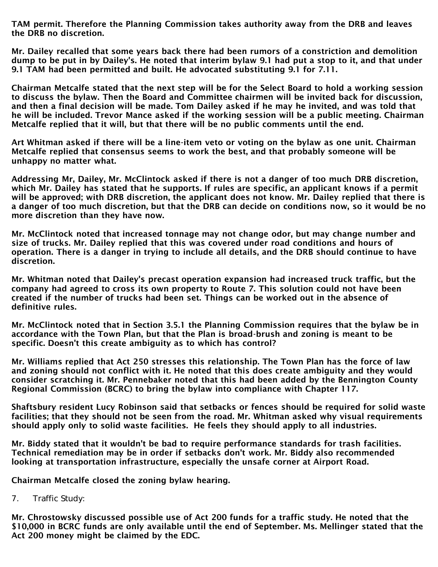TAM permit. Therefore the Planning Commission takes authority away from the DRB and leaves the DRB no discretion.

Mr. Dailey recalled that some years back there had been rumors of a constriction and demolition dump to be put in by Dailey's. He noted that interim bylaw 9.1 had put a stop to it, and that under 9.1 TAM had been permitted and built. He advocated substituting 9.1 for 7.11.

Chairman Metcalfe stated that the next step will be for the Select Board to hold a working session to discuss the bylaw. Then the Board and Committee chairmen will be invited back for discussion, and then a final decision will be made. Tom Dailey asked if he may he invited, and was told that he will be included. Trevor Mance asked if the working session will be a public meeting. Chairman Metcalfe replied that it will, but that there will be no public comments until the end.

Art Whitman asked if there will be a line-item veto or voting on the bylaw as one unit. Chairman Metcalfe replied that consensus seems to work the best, and that probably someone will be unhappy no matter what.

Addressing Mr, Dailey, Mr. McClintock asked if there is not a danger of too much DRB discretion, which Mr. Dailey has stated that he supports. If rules are specific, an applicant knows if a permit will be approved; with DRB discretion, the applicant does not know. Mr. Dailey replied that there is a danger of too much discretion, but that the DRB can decide on conditions now, so it would be no more discretion than they have now.

Mr. McClintock noted that increased tonnage may not change odor, but may change number and size of trucks. Mr. Dailey replied that this was covered under road conditions and hours of operation. There is a danger in trying to include all details, and the DRB should continue to have discretion.

Mr. Whitman noted that Dailey's precast operation expansion had increased truck traffic, but the company had agreed to cross its own property to Route 7. This solution could not have been created if the number of trucks had been set. Things can be worked out in the absence of definitive rules.

Mr. McClintock noted that in Section 3.5.1 the Planning Commission requires that the bylaw be in accordance with the Town Plan, but that the Plan is broad-brush and zoning is meant to be specific. Doesn't this create ambiguity as to which has control?

Mr. Williams replied that Act 250 stresses this relationship. The Town Plan has the force of law and zoning should not conflict with it. He noted that this does create ambiguity and they would consider scratching it. Mr. Pennebaker noted that this had been added by the Bennington County Regional Commission (BCRC) to bring the bylaw into compliance with Chapter 117.

Shaftsbury resident Lucy Robinson said that setbacks or fences should be required for solid waste facilities; that they should not be seen from the road. Mr. Whitman asked why visual requirements should apply only to solid waste facilities. He feels they should apply to all industries.

Mr. Biddy stated that it wouldn't be bad to require performance standards for trash facilities. Technical remediation may be in order if setbacks don't work. Mr. Biddy also recommended looking at transportation infrastructure, especially the unsafe corner at Airport Road.

Chairman Metcalfe closed the zoning bylaw hearing.

7. Traffic Study:

Mr. Chrostowsky discussed possible use of Act 200 funds for a traffic study. He noted that the \$10,000 in BCRC funds are only available until the end of September. Ms. Mellinger stated that the Act 200 money might be claimed by the EDC.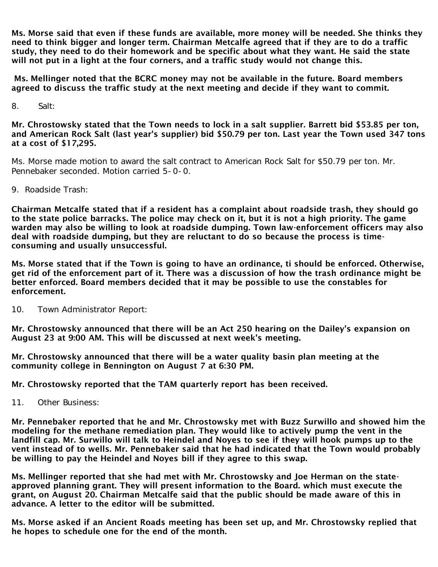Ms. Morse said that even if these funds are available, more money will be needed. She thinks they need to think bigger and longer term. Chairman Metcalfe agreed that if they are to do a traffic study, they need to do their homework and be specific about what they want. He said the state will not put in a light at the four corners, and a traffic study would not change this.

Ms. Mellinger noted that the BCRC money may not be available in the future. Board members agreed to discuss the traffic study at the next meeting and decide if they want to commit.

8. Salt:

Mr. Chrostowsky stated that the Town needs to lock in a salt supplier. Barrett bid \$53.85 per ton, and American Rock Salt (last year's supplier) bid \$50.79 per ton. Last year the Town used 347 tons at a cost of \$17,295.

Ms. Morse made motion to award the salt contract to American Rock Salt for \$50.79 per ton. Mr. Pennebaker seconded. Motion carried 5-0-0.

9. Roadside Trash:

Chairman Metcalfe stated that if a resident has a complaint about roadside trash, they should go to the state police barracks. The police may check on it, but it is not a high priority. The game warden may also be willing to look at roadside dumping. Town law-enforcement officers may also deal with roadside dumping, but they are reluctant to do so because the process is timeconsuming and usually unsuccessful.

Ms. Morse stated that if the Town is going to have an ordinance, ti should be enforced. Otherwise, get rid of the enforcement part of it. There was a discussion of how the trash ordinance might be better enforced. Board members decided that it may be possible to use the constables for enforcement.

10. Town Administrator Report:

Mr. Chrostowsky announced that there will be an Act 250 hearing on the Dailey's expansion on August 23 at 9:00 AM. This will be discussed at next week's meeting.

Mr. Chrostowsky announced that there will be a water quality basin plan meeting at the community college in Bennington on August 7 at 6:30 PM.

Mr. Chrostowsky reported that the TAM quarterly report has been received.

11. Other Business:

Mr. Pennebaker reported that he and Mr. Chrostowsky met with Buzz Surwillo and showed him the modeling for the methane remediation plan. They would like to actively pump the vent in the landfill cap. Mr. Surwillo will talk to Heindel and Noyes to see if they will hook pumps up to the vent instead of to wells. Mr. Pennebaker said that he had indicated that the Town would probably be willing to pay the Heindel and Noyes bill if they agree to this swap.

Ms. Mellinger reported that she had met with Mr. Chrostowsky and Joe Herman on the stateapproved planning grant. They will present information to the Board. which must execute the grant, on August 20. Chairman Metcalfe said that the public should be made aware of this in advance. A letter to the editor will be submitted.

Ms. Morse asked if an Ancient Roads meeting has been set up, and Mr. Chrostowsky replied that he hopes to schedule one for the end of the month.